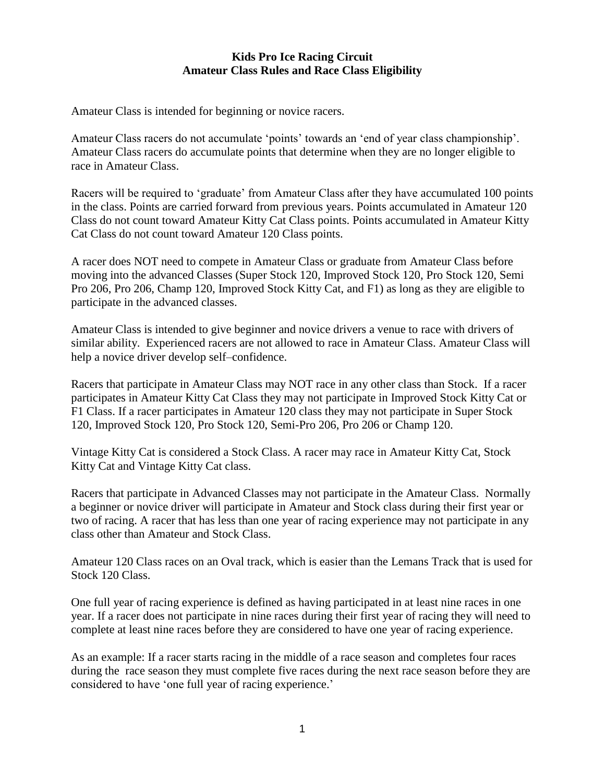## **Kids Pro Ice Racing Circuit Amateur Class Rules and Race Class Eligibility**

Amateur Class is intended for beginning or novice racers.

Amateur Class racers do not accumulate 'points' towards an 'end of year class championship'. Amateur Class racers do accumulate points that determine when they are no longer eligible to race in Amateur Class.

Racers will be required to 'graduate' from Amateur Class after they have accumulated 100 points in the class. Points are carried forward from previous years. Points accumulated in Amateur 120 Class do not count toward Amateur Kitty Cat Class points. Points accumulated in Amateur Kitty Cat Class do not count toward Amateur 120 Class points.

A racer does NOT need to compete in Amateur Class or graduate from Amateur Class before moving into the advanced Classes (Super Stock 120, Improved Stock 120, Pro Stock 120, Semi Pro 206, Pro 206, Champ 120, Improved Stock Kitty Cat, and F1) as long as they are eligible to participate in the advanced classes.

Amateur Class is intended to give beginner and novice drivers a venue to race with drivers of similar ability. Experienced racers are not allowed to race in Amateur Class. Amateur Class will help a novice driver develop self–confidence.

Racers that participate in Amateur Class may NOT race in any other class than Stock. If a racer participates in Amateur Kitty Cat Class they may not participate in Improved Stock Kitty Cat or F1 Class. If a racer participates in Amateur 120 class they may not participate in Super Stock 120, Improved Stock 120, Pro Stock 120, Semi-Pro 206, Pro 206 or Champ 120.

Vintage Kitty Cat is considered a Stock Class. A racer may race in Amateur Kitty Cat, Stock Kitty Cat and Vintage Kitty Cat class.

Racers that participate in Advanced Classes may not participate in the Amateur Class. Normally a beginner or novice driver will participate in Amateur and Stock class during their first year or two of racing. A racer that has less than one year of racing experience may not participate in any class other than Amateur and Stock Class.

Amateur 120 Class races on an Oval track, which is easier than the Lemans Track that is used for Stock 120 Class.

One full year of racing experience is defined as having participated in at least nine races in one year. If a racer does not participate in nine races during their first year of racing they will need to complete at least nine races before they are considered to have one year of racing experience.

As an example: If a racer starts racing in the middle of a race season and completes four races during the race season they must complete five races during the next race season before they are considered to have 'one full year of racing experience.'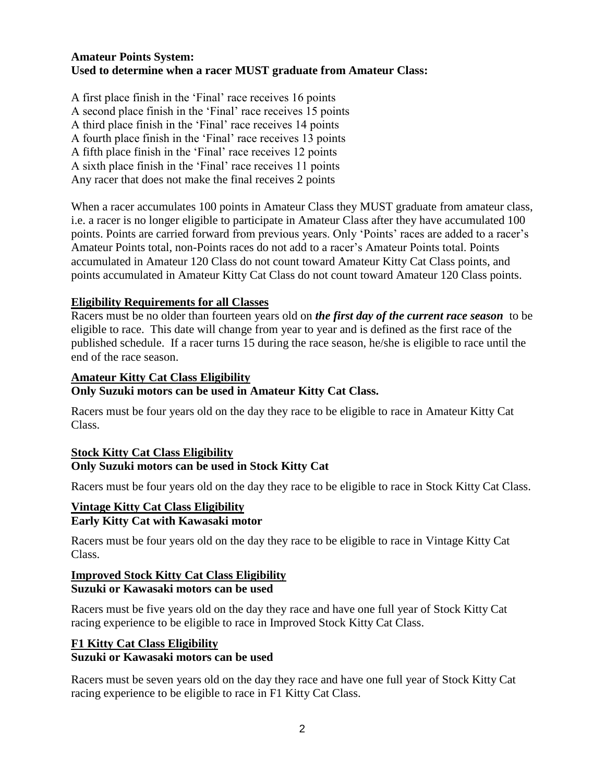# **Amateur Points System: Used to determine when a racer MUST graduate from Amateur Class:**

A first place finish in the 'Final' race receives 16 points A second place finish in the 'Final' race receives 15 points A third place finish in the 'Final' race receives 14 points A fourth place finish in the 'Final' race receives 13 points A fifth place finish in the 'Final' race receives 12 points A sixth place finish in the 'Final' race receives 11 points Any racer that does not make the final receives 2 points

When a racer accumulates 100 points in Amateur Class they MUST graduate from amateur class, i.e. a racer is no longer eligible to participate in Amateur Class after they have accumulated 100 points. Points are carried forward from previous years. Only 'Points' races are added to a racer's Amateur Points total, non-Points races do not add to a racer's Amateur Points total. Points accumulated in Amateur 120 Class do not count toward Amateur Kitty Cat Class points, and points accumulated in Amateur Kitty Cat Class do not count toward Amateur 120 Class points.

# **Eligibility Requirements for all Classes**

Racers must be no older than fourteen years old on *the first day of the current race season* to be eligible to race. This date will change from year to year and is defined as the first race of the published schedule. If a racer turns 15 during the race season, he/she is eligible to race until the end of the race season.

#### **Amateur Kitty Cat Class Eligibility**

#### **Only Suzuki motors can be used in Amateur Kitty Cat Class.**

Racers must be four years old on the day they race to be eligible to race in Amateur Kitty Cat Class.

## **Stock Kitty Cat Class Eligibility Only Suzuki motors can be used in Stock Kitty Cat**

Racers must be four years old on the day they race to be eligible to race in Stock Kitty Cat Class.

## **Vintage Kitty Cat Class Eligibility Early Kitty Cat with Kawasaki motor**

Racers must be four years old on the day they race to be eligible to race in Vintage Kitty Cat Class.

# **Improved Stock Kitty Cat Class Eligibility Suzuki or Kawasaki motors can be used**

Racers must be five years old on the day they race and have one full year of Stock Kitty Cat racing experience to be eligible to race in Improved Stock Kitty Cat Class.

# **F1 Kitty Cat Class Eligibility Suzuki or Kawasaki motors can be used**

Racers must be seven years old on the day they race and have one full year of Stock Kitty Cat racing experience to be eligible to race in F1 Kitty Cat Class.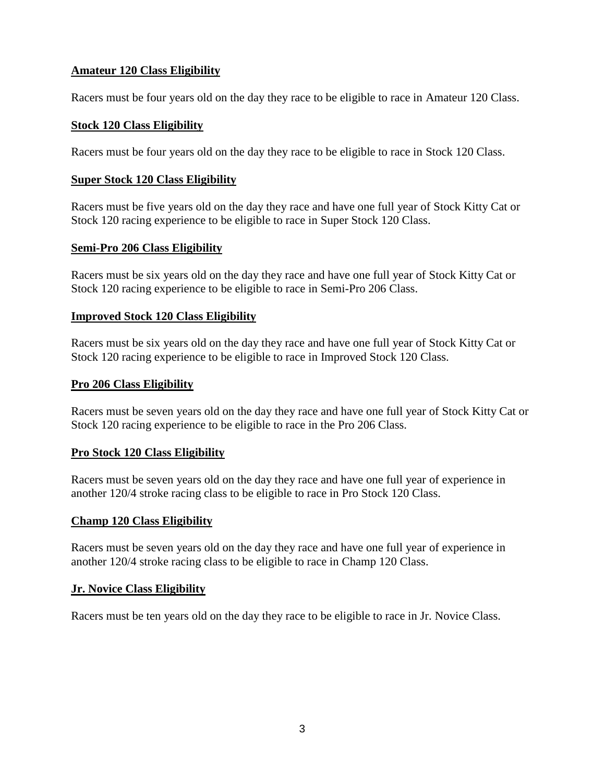# **Amateur 120 Class Eligibility**

Racers must be four years old on the day they race to be eligible to race in Amateur 120 Class.

## **Stock 120 Class Eligibility**

Racers must be four years old on the day they race to be eligible to race in Stock 120 Class.

## **Super Stock 120 Class Eligibility**

Racers must be five years old on the day they race and have one full year of Stock Kitty Cat or Stock 120 racing experience to be eligible to race in Super Stock 120 Class.

## **Semi-Pro 206 Class Eligibility**

Racers must be six years old on the day they race and have one full year of Stock Kitty Cat or Stock 120 racing experience to be eligible to race in Semi-Pro 206 Class.

## **Improved Stock 120 Class Eligibility**

Racers must be six years old on the day they race and have one full year of Stock Kitty Cat or Stock 120 racing experience to be eligible to race in Improved Stock 120 Class.

#### **Pro 206 Class Eligibility**

Racers must be seven years old on the day they race and have one full year of Stock Kitty Cat or Stock 120 racing experience to be eligible to race in the Pro 206 Class.

## **Pro Stock 120 Class Eligibility**

Racers must be seven years old on the day they race and have one full year of experience in another 120/4 stroke racing class to be eligible to race in Pro Stock 120 Class.

#### **Champ 120 Class Eligibility**

Racers must be seven years old on the day they race and have one full year of experience in another 120/4 stroke racing class to be eligible to race in Champ 120 Class.

#### **Jr. Novice Class Eligibility**

Racers must be ten years old on the day they race to be eligible to race in Jr. Novice Class.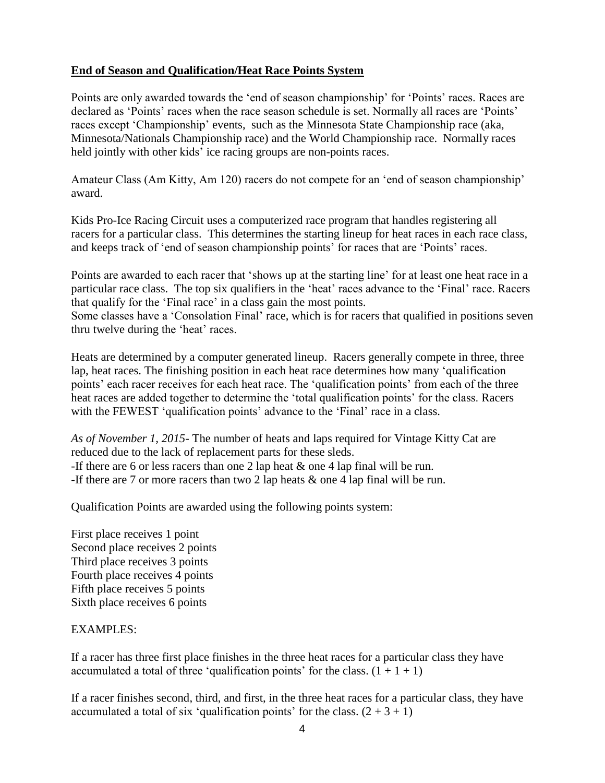# **End of Season and Qualification/Heat Race Points System**

Points are only awarded towards the 'end of season championship' for 'Points' races. Races are declared as 'Points' races when the race season schedule is set. Normally all races are 'Points' races except 'Championship' events, such as the Minnesota State Championship race (aka, Minnesota/Nationals Championship race) and the World Championship race. Normally races held jointly with other kids' ice racing groups are non-points races.

Amateur Class (Am Kitty, Am 120) racers do not compete for an 'end of season championship' award.

Kids Pro-Ice Racing Circuit uses a computerized race program that handles registering all racers for a particular class. This determines the starting lineup for heat races in each race class, and keeps track of 'end of season championship points' for races that are 'Points' races.

Points are awarded to each racer that 'shows up at the starting line' for at least one heat race in a particular race class. The top six qualifiers in the 'heat' races advance to the 'Final' race. Racers that qualify for the 'Final race' in a class gain the most points.

Some classes have a 'Consolation Final' race, which is for racers that qualified in positions seven thru twelve during the 'heat' races.

Heats are determined by a computer generated lineup. Racers generally compete in three, three lap, heat races. The finishing position in each heat race determines how many 'qualification points' each racer receives for each heat race. The 'qualification points' from each of the three heat races are added together to determine the 'total qualification points' for the class. Racers with the FEWEST 'qualification points' advance to the 'Final' race in a class.

*As of November 1, 2015*- The number of heats and laps required for Vintage Kitty Cat are reduced due to the lack of replacement parts for these sleds. -If there are 6 or less racers than one 2 lap heat & one 4 lap final will be run. -If there are 7 or more racers than two 2 lap heats & one 4 lap final will be run.

Qualification Points are awarded using the following points system:

First place receives 1 point Second place receives 2 points Third place receives 3 points Fourth place receives 4 points Fifth place receives 5 points Sixth place receives 6 points

# EXAMPLES:

If a racer has three first place finishes in the three heat races for a particular class they have accumulated a total of three 'qualification points' for the class.  $(1 + 1 + 1)$ 

If a racer finishes second, third, and first, in the three heat races for a particular class, they have accumulated a total of six 'qualification points' for the class.  $(2 + 3 + 1)$